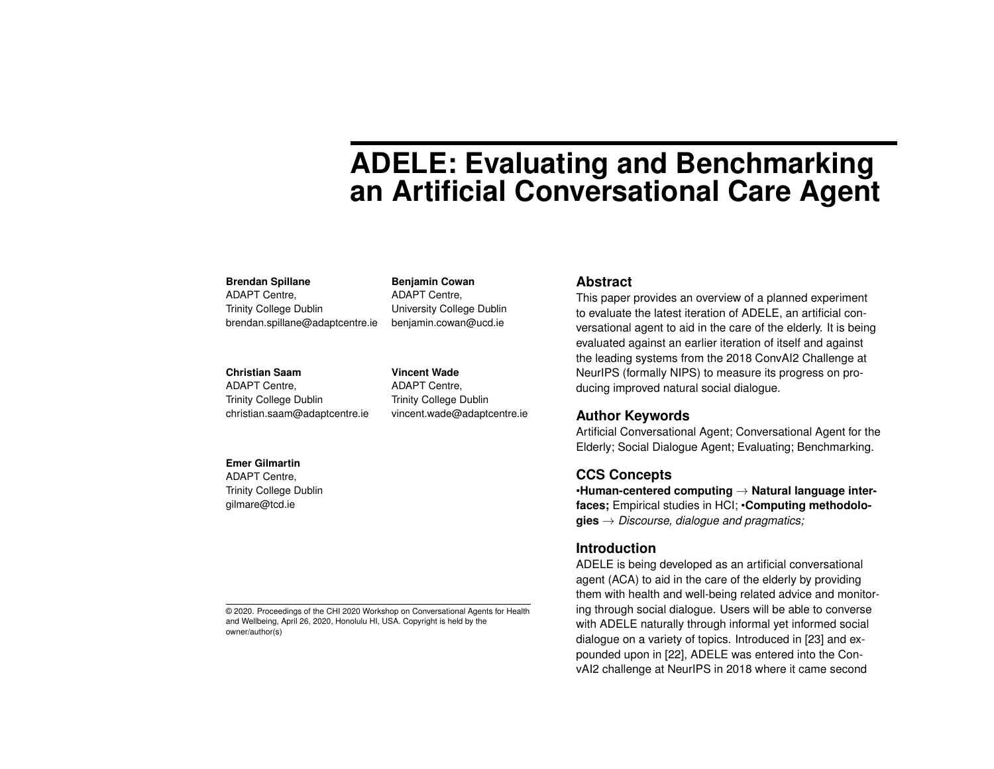# **ADELE: Evaluating and Benchmarking an Artificial Conversational Care Agent**

#### **Brendan Spillane**

ADAPT Centre, Trinity College Dublin brendan.spillane@adaptcentre.ie

#### **Christian Saam**

**Emer Gilmartin** ADAPT Centre, Trinity College Dublin gilmare@tcd.ie

ADAPT Centre, Trinity College Dublin christian.saam@adaptcentre.ie **Vincent Wade** ADAPT Centre, Trinity College Dublin vincent.wade@adaptcentre.ie

University College Dublin benjamin.cowan@ucd.ie

**Benjamin Cowan** ADAPT Centre,

#### **Abstract**

This paper provides an overview of a planned experiment to evaluate the latest iteration of ADELE, an artificial conversational agent to aid in the care of the elderly. It is being evaluated against an earlier iteration of itself and against the leading systems from the 2018 ConvAI2 Challenge at NeurIPS (formally NIPS) to measure its progress on producing improved natural social dialogue.

# **Author Keywords**

Artificial Conversational Agent; Conversational Agent for the Elderly; Social Dialogue Agent; Evaluating; Benchmarking.

# **CCS Concepts**

•**Human-centered computing** → **Natural language interfaces;** Empirical studies in HCI; •**Computing methodologies** → *Discourse, dialogue and pragmatics;*

# **Introduction**

ADELE is being developed as an artificial conversational agent (ACA) to aid in the care of the elderly by providing them with health and well-being related advice and monitoring through social dialogue. Users will be able to converse with ADELE naturally through informal yet informed social dialogue on a variety of topics. Introduced in [\[23\]](#page-6-0) and expounded upon in [\[22\]](#page-6-1), ADELE was entered into the ConvAI2 challenge at NeurIPS in 2018 where it came second

© 2020. Proceedings of the CHI 2020 Workshop on Conversational Agents for Health and Wellbeing, April 26, 2020, Honolulu HI, USA. Copyright is held by the owner/author(s)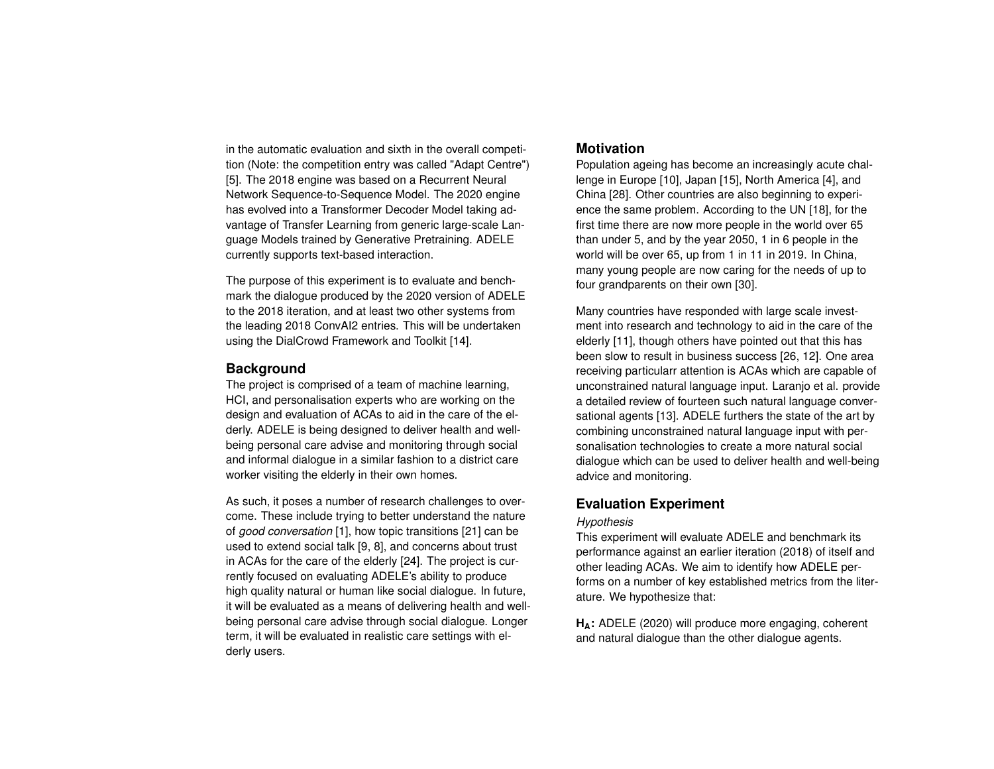in the automatic evaluation and sixth in the overall competition (Note: the competition entry was called "Adapt Centre") [\[5\]](#page-4-0). The 2018 engine was based on a Recurrent Neural Network Sequence-to-Sequence Model. The 2020 engine has evolved into a Transformer Decoder Model taking advantage of Transfer Learning from generic large-scale Language Models trained by Generative Pretraining. ADELE currently supports text-based interaction.

The purpose of this experiment is to evaluate and benchmark the dialogue produced by the 2020 version of ADELE to the 2018 iteration, and at least two other systems from the leading 2018 ConvAI2 entries. This will be undertaken using the DialCrowd Framework and Toolkit [\[14\]](#page-5-0).

# **Background**

The project is comprised of a team of machine learning, HCI, and personalisation experts who are working on the design and evaluation of ACAs to aid in the care of the elderly. ADELE is being designed to deliver health and wellbeing personal care advise and monitoring through social and informal dialogue in a similar fashion to a district care worker visiting the elderly in their own homes.

As such, it poses a number of research challenges to overcome. These include trying to better understand the nature of *good conversation* [\[1\]](#page-4-1), how topic transitions [\[21\]](#page-6-2) can be used to extend social talk [\[9,](#page-5-1) [8\]](#page-4-2), and concerns about trust in ACAs for the care of the elderly [\[24\]](#page-6-3). The project is currently focused on evaluating ADELE's ability to produce high quality natural or human like social dialogue. In future, it will be evaluated as a means of delivering health and wellbeing personal care advise through social dialogue. Longer term, it will be evaluated in realistic care settings with elderly users.

# **Motivation**

Population ageing has become an increasingly acute challenge in Europe [\[10\]](#page-5-2), Japan [\[15\]](#page-5-3), North America [\[4\]](#page-4-3), and China [\[28\]](#page-6-4). Other countries are also beginning to experience the same problem. According to the UN [\[18\]](#page-5-4), for the first time there are now more people in the world over 65 than under 5, and by the year 2050, 1 in 6 people in the world will be over 65, up from 1 in 11 in 2019. In China, many young people are now caring for the needs of up to four grandparents on their own [\[30\]](#page-6-5).

Many countries have responded with large scale investment into research and technology to aid in the care of the elderly [\[11\]](#page-5-5), though others have pointed out that this has been slow to result in business success [\[26,](#page-6-6) [12\]](#page-5-6). One area receiving particularr attention is ACAs which are capable of unconstrained natural language input. Laranjo et al. provide a detailed review of fourteen such natural language conversational agents [\[13\]](#page-5-7). ADELE furthers the state of the art by combining unconstrained natural language input with personalisation technologies to create a more natural social dialogue which can be used to deliver health and well-being advice and monitoring.

# **Evaluation Experiment**

# *Hypothesis*

This experiment will evaluate ADELE and benchmark its performance against an earlier iteration (2018) of itself and other leading ACAs. We aim to identify how ADELE performs on a number of key established metrics from the literature. We hypothesize that:

**HA:** ADELE (2020) will produce more engaging, coherent and natural dialogue than the other dialogue agents.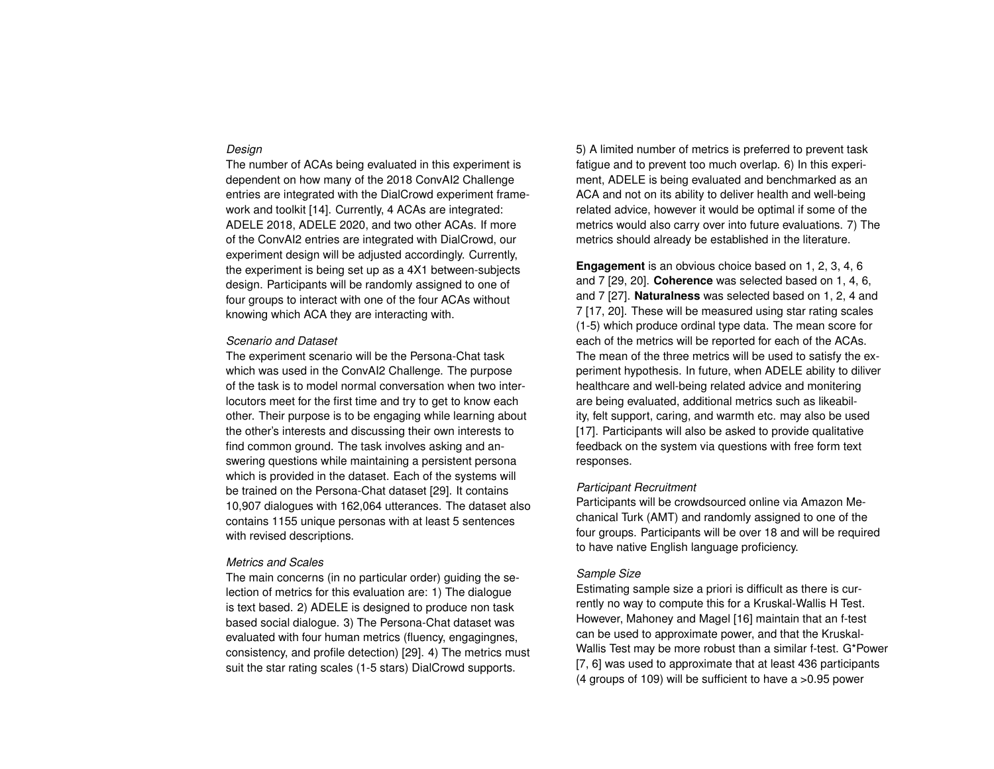#### *Design*

The number of ACAs being evaluated in this experiment is dependent on how many of the 2018 ConvAI2 Challenge entries are integrated with the DialCrowd experiment framework and toolkit [\[14\]](#page-5-0). Currently, 4 ACAs are integrated: ADELE 2018, ADELE 2020, and two other ACAs. If more of the ConvAI2 entries are integrated with DialCrowd, our experiment design will be adjusted accordingly. Currently, the experiment is being set up as a 4X1 between-subjects design. Participants will be randomly assigned to one of four groups to interact with one of the four ACAs without knowing which ACA they are interacting with.

#### *Scenario and Dataset*

The experiment scenario will be the Persona-Chat task which was used in the ConvAI2 Challenge. The purpose of the task is to model normal conversation when two interlocutors meet for the first time and try to get to know each other. Their purpose is to be engaging while learning about the other's interests and discussing their own interests to find common ground. The task involves asking and answering questions while maintaining a persistent persona which is provided in the dataset. Each of the systems will be trained on the Persona-Chat dataset [\[29\]](#page-6-7). It contains 10,907 dialogues with 162,064 utterances. The dataset also contains 1155 unique personas with at least 5 sentences with revised descriptions.

#### *Metrics and Scales*

The main concerns (in no particular order) guiding the selection of metrics for this evaluation are: 1) The dialogue is text based. 2) ADELE is designed to produce non task based social dialogue. 3) The Persona-Chat dataset was evaluated with four human metrics (fluency, engagingnes, consistency, and profile detection) [\[29\]](#page-6-7). 4) The metrics must suit the star rating scales (1-5 stars) DialCrowd supports.

5) A limited number of metrics is preferred to prevent task fatigue and to prevent too much overlap. 6) In this experiment, ADELE is being evaluated and benchmarked as an ACA and not on its ability to deliver health and well-being related advice, however it would be optimal if some of the metrics would also carry over into future evaluations. 7) The metrics should already be established in the literature.

**Engagement** is an obvious choice based on 1, 2, 3, 4, 6 and 7 [\[29,](#page-6-7) [20\]](#page-5-8). **Coherence** was selected based on 1, 4, 6, and 7 [\[27\]](#page-6-8). **Naturalness** was selected based on 1, 2, 4 and 7 [\[17,](#page-5-9) [20\]](#page-5-8). These will be measured using star rating scales (1-5) which produce ordinal type data. The mean score for each of the metrics will be reported for each of the ACAs. The mean of the three metrics will be used to satisfy the experiment hypothesis. In future, when ADELE ability to diliver healthcare and well-being related advice and monitering are being evaluated, additional metrics such as likeability, felt support, caring, and warmth etc. may also be used [\[17\]](#page-5-9). Participants will also be asked to provide qualitative feedback on the system via questions with free form text responses.

#### *Participant Recruitment*

Participants will be crowdsourced online via Amazon Mechanical Turk (AMT) and randomly assigned to one of the four groups. Participants will be over 18 and will be required to have native English language proficiency.

# *Sample Size*

Estimating sample size a priori is difficult as there is currently no way to compute this for a Kruskal-Wallis H Test. However, Mahoney and Magel [\[16\]](#page-5-10) maintain that an f-test can be used to approximate power, and that the Kruskal-Wallis Test may be more robust than a similar f-test. G\*Power [\[7,](#page-4-4) [6\]](#page-4-5) was used to approximate that at least 436 participants (4 groups of 109) will be sufficient to have a >0.95 power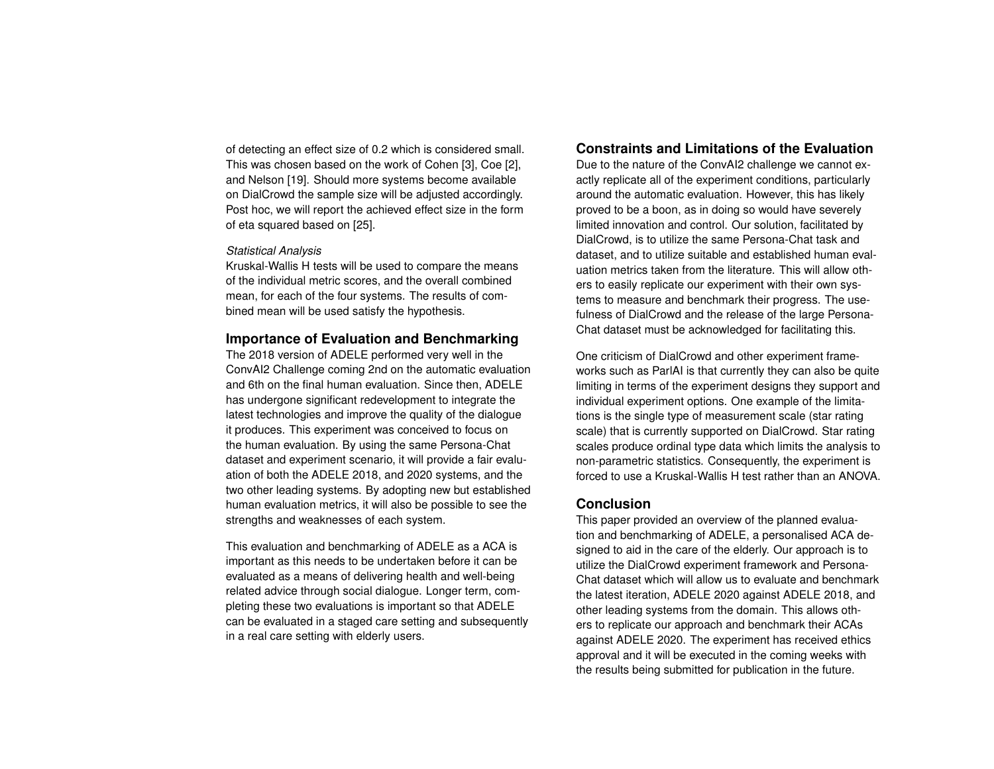of detecting an effect size of 0.2 which is considered small. This was chosen based on the work of Cohen [\[3\]](#page-4-6), Coe [\[2\]](#page-4-7), and Nelson [\[19\]](#page-5-11). Should more systems become available on DialCrowd the sample size will be adjusted accordingly. Post hoc, we will report the achieved effect size in the form of eta squared based on [\[25\]](#page-6-9).

#### *Statistical Analysis*

Kruskal-Wallis H tests will be used to compare the means of the individual metric scores, and the overall combined mean, for each of the four systems. The results of combined mean will be used satisfy the hypothesis.

# **Importance of Evaluation and Benchmarking**

The 2018 version of ADELE performed very well in the ConvAI2 Challenge coming 2nd on the automatic evaluation and 6th on the final human evaluation. Since then, ADELE has undergone significant redevelopment to integrate the latest technologies and improve the quality of the dialogue it produces. This experiment was conceived to focus on the human evaluation. By using the same Persona-Chat dataset and experiment scenario, it will provide a fair evaluation of both the ADELE 2018, and 2020 systems, and the two other leading systems. By adopting new but established human evaluation metrics, it will also be possible to see the strengths and weaknesses of each system.

This evaluation and benchmarking of ADELE as a ACA is important as this needs to be undertaken before it can be evaluated as a means of delivering health and well-being related advice through social dialogue. Longer term, completing these two evaluations is important so that ADELE can be evaluated in a staged care setting and subsequently in a real care setting with elderly users.

# **Constraints and Limitations of the Evaluation**

Due to the nature of the ConvAI2 challenge we cannot exactly replicate all of the experiment conditions, particularly around the automatic evaluation. However, this has likely proved to be a boon, as in doing so would have severely limited innovation and control. Our solution, facilitated by DialCrowd, is to utilize the same Persona-Chat task and dataset, and to utilize suitable and established human evaluation metrics taken from the literature. This will allow others to easily replicate our experiment with their own systems to measure and benchmark their progress. The usefulness of DialCrowd and the release of the large Persona-Chat dataset must be acknowledged for facilitating this.

One criticism of DialCrowd and other experiment frameworks such as ParlAI is that currently they can also be quite limiting in terms of the experiment designs they support and individual experiment options. One example of the limitations is the single type of measurement scale (star rating scale) that is currently supported on DialCrowd. Star rating scales produce ordinal type data which limits the analysis to non-parametric statistics. Consequently, the experiment is forced to use a Kruskal-Wallis H test rather than an ANOVA.

# **Conclusion**

This paper provided an overview of the planned evaluation and benchmarking of ADELE, a personalised ACA designed to aid in the care of the elderly. Our approach is to utilize the DialCrowd experiment framework and Persona-Chat dataset which will allow us to evaluate and benchmark the latest iteration, ADELE 2020 against ADELE 2018, and other leading systems from the domain. This allows others to replicate our approach and benchmark their ACAs against ADELE 2020. The experiment has received ethics approval and it will be executed in the coming weeks with the results being submitted for publication in the future.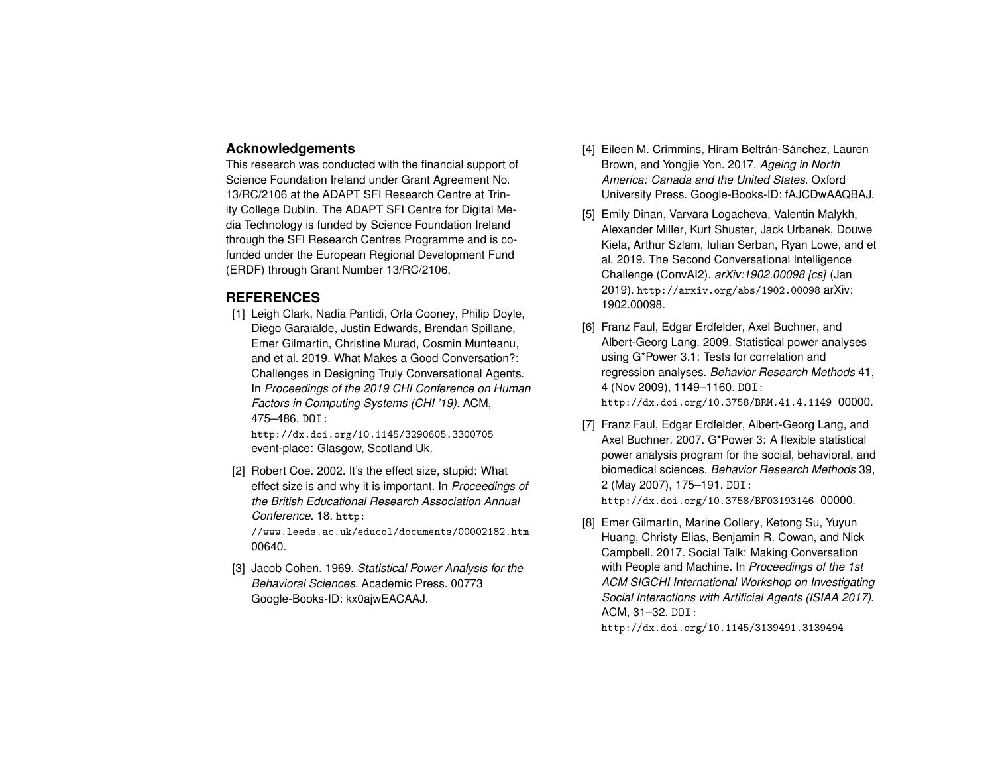# **Acknowledgements**

This research was conducted with the financial support of Science Foundation Ireland under Grant Agreement No. 13/RC/2106 at the ADAPT SFI Research Centre at Trinity College Dublin. The ADAPT SFI Centre for Digital Media Technology is funded by Science Foundation Ireland through the SFI Research Centres Programme and is cofunded under the European Regional Development Fund (ERDF) through Grant Number 13/RC/2106.

# **REFERENCES**

<span id="page-4-1"></span>[1] Leigh Clark, Nadia Pantidi, Orla Cooney, Philip Doyle, Diego Garaialde, Justin Edwards, Brendan Spillane, Emer Gilmartin, Christine Murad, Cosmin Munteanu, and et al. 2019. What Makes a Good Conversation?: Challenges in Designing Truly Conversational Agents. In *Proceedings of the 2019 CHI Conference on Human Factors in Computing Systems (CHI '19)*. ACM, 475–486. DOI:

<http://dx.doi.org/10.1145/3290605.3300705> event-place: Glasgow, Scotland Uk.

<span id="page-4-7"></span>[2] Robert Coe. 2002. It's the effect size, stupid: What effect size is and why it is important. In *Proceedings of the British Educational Research Association Annual Conference*. 18. [http:](http://www.leeds.ac.uk/educol/documents/00002182.htm)

[//www.leeds.ac.uk/educol/documents/00002182.htm](http://www.leeds.ac.uk/educol/documents/00002182.htm) 00640.

<span id="page-4-6"></span>[3] Jacob Cohen. 1969. *Statistical Power Analysis for the Behavioral Sciences*. Academic Press. 00773 Google-Books-ID: kx0ajwEACAAJ.

- <span id="page-4-3"></span>[4] Eileen M. Crimmins, Hiram Beltrán-Sánchez, Lauren Brown, and Yongjie Yon. 2017. *Ageing in North America: Canada and the United States*. Oxford University Press. Google-Books-ID: fAJCDwAAQBAJ.
- <span id="page-4-0"></span>[5] Emily Dinan, Varvara Logacheva, Valentin Malykh, Alexander Miller, Kurt Shuster, Jack Urbanek, Douwe Kiela, Arthur Szlam, Iulian Serban, Ryan Lowe, and et al. 2019. The Second Conversational Intelligence Challenge (ConvAI2). *arXiv:1902.00098 [cs]* (Jan 2019). <http://arxiv.org/abs/1902.00098> arXiv: 1902.00098.
- <span id="page-4-5"></span>[6] Franz Faul, Edgar Erdfelder, Axel Buchner, and Albert-Georg Lang. 2009. Statistical power analyses using G\*Power 3.1: Tests for correlation and regression analyses. *Behavior Research Methods* 41, 4 (Nov 2009), 1149–1160. DOI: <http://dx.doi.org/10.3758/BRM.41.4.1149> 00000.
- <span id="page-4-4"></span>[7] Franz Faul, Edgar Erdfelder, Albert-Georg Lang, and Axel Buchner. 2007. G\*Power 3: A flexible statistical power analysis program for the social, behavioral, and biomedical sciences. *Behavior Research Methods* 39, 2 (May 2007), 175–191. DOI: <http://dx.doi.org/10.3758/BF03193146> 00000.
- <span id="page-4-2"></span>[8] Emer Gilmartin, Marine Collery, Ketong Su, Yuyun Huang, Christy Elias, Benjamin R. Cowan, and Nick Campbell. 2017. Social Talk: Making Conversation with People and Machine. In *Proceedings of the 1st ACM SIGCHI International Workshop on Investigating Social Interactions with Artificial Agents (ISIAA 2017)*. ACM, 31–32. DOI:

<http://dx.doi.org/10.1145/3139491.3139494>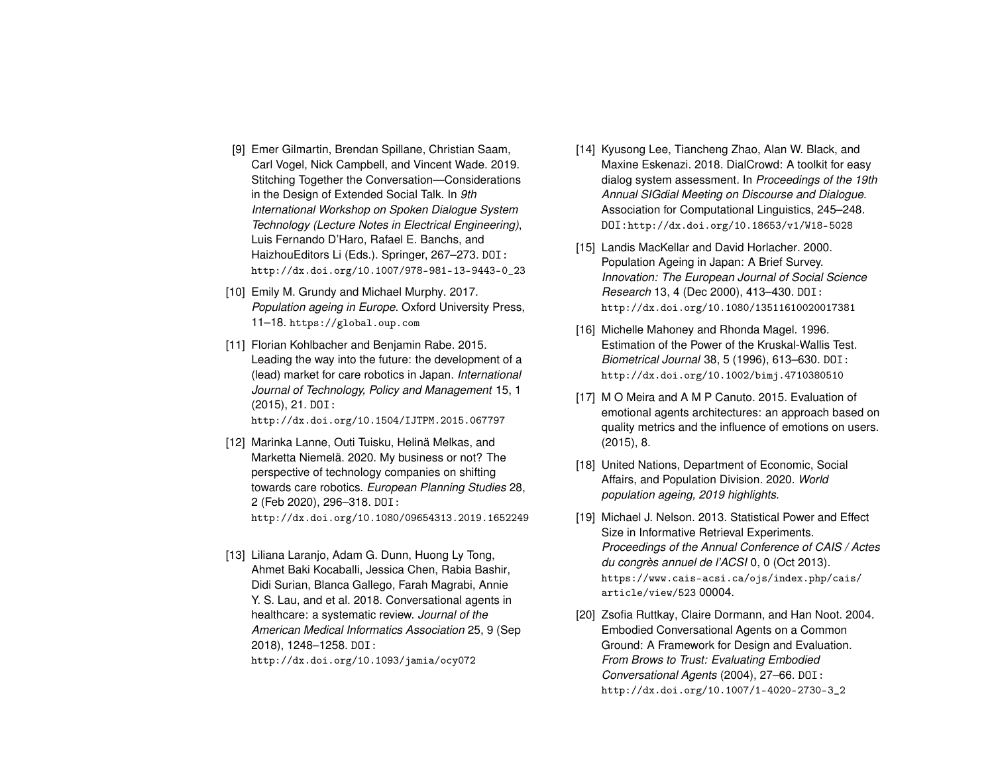- <span id="page-5-1"></span>[9] Emer Gilmartin, Brendan Spillane, Christian Saam, Carl Vogel, Nick Campbell, and Vincent Wade. 2019. Stitching Together the Conversation—Considerations in the Design of Extended Social Talk. In *9th International Workshop on Spoken Dialogue System Technology (Lecture Notes in Electrical Engineering)*, Luis Fernando D'Haro, Rafael E. Banchs, and HaizhouEditors Li (Eds.). Springer, 267–273. DOI: [http://dx.doi.org/10.1007/978-981-13-9443-0\\_23](http://dx.doi.org/10.1007/978-981-13-9443-0_23)
- <span id="page-5-2"></span>[10] Emily M. Grundy and Michael Murphy. 2017. *Population ageing in Europe*. Oxford University Press, 11–18. <https://global.oup.com>
- <span id="page-5-5"></span>[11] Florian Kohlbacher and Benjamin Rabe. 2015. Leading the way into the future: the development of a (lead) market for care robotics in Japan. *International Journal of Technology, Policy and Management* 15, 1 (2015), 21. DOI:

<http://dx.doi.org/10.1504/IJTPM.2015.067797>

- <span id="page-5-6"></span>[12] Marinka Lanne, Outi Tuisku, Helinä Melkas, and Marketta Niemelä. 2020. My business or not? The perspective of technology companies on shifting towards care robotics. *European Planning Studies* 28, 2 (Feb 2020), 296–318. DOI: <http://dx.doi.org/10.1080/09654313.2019.1652249>
- <span id="page-5-7"></span>[13] Liliana Laranjo, Adam G. Dunn, Huong Ly Tong, Ahmet Baki Kocaballi, Jessica Chen, Rabia Bashir, Didi Surian, Blanca Gallego, Farah Magrabi, Annie Y. S. Lau, and et al. 2018. Conversational agents in healthcare: a systematic review. *Journal of the American Medical Informatics Association* 25, 9 (Sep 2018), 1248–1258. DOI: <http://dx.doi.org/10.1093/jamia/ocy072>
- <span id="page-5-0"></span>[14] Kyusong Lee, Tiancheng Zhao, Alan W. Black, and Maxine Eskenazi. 2018. DialCrowd: A toolkit for easy dialog system assessment. In *Proceedings of the 19th Annual SIGdial Meeting on Discourse and Dialogue*. Association for Computational Linguistics, 245–248. DOI:<http://dx.doi.org/10.18653/v1/W18-5028>
- <span id="page-5-3"></span>[15] Landis MacKellar and David Horlacher. 2000. Population Ageing in Japan: A Brief Survey. *Innovation: The European Journal of Social Science Research* 13, 4 (Dec 2000), 413–430. DOI: <http://dx.doi.org/10.1080/13511610020017381>
- <span id="page-5-10"></span>[16] Michelle Mahoney and Rhonda Magel. 1996. Estimation of the Power of the Kruskal-Wallis Test. *Biometrical Journal* 38, 5 (1996), 613–630. DOI: <http://dx.doi.org/10.1002/bimj.4710380510>
- <span id="page-5-9"></span>[17] M O Meira and A M P Canuto. 2015. Evaluation of emotional agents architectures: an approach based on quality metrics and the influence of emotions on users. (2015), 8.
- <span id="page-5-4"></span>[18] United Nations, Department of Economic, Social Affairs, and Population Division. 2020. *World population ageing, 2019 highlights.*
- <span id="page-5-11"></span>[19] Michael J. Nelson. 2013. Statistical Power and Effect Size in Informative Retrieval Experiments. *Proceedings of the Annual Conference of CAIS / Actes du congrès annuel de l'ACSI* 0, 0 (Oct 2013). [https://www.cais-acsi.ca/ojs/index.php/cais/](https://www.cais-acsi.ca/ojs/index.php/cais/article/view/523) [article/view/523](https://www.cais-acsi.ca/ojs/index.php/cais/article/view/523) 00004.
- <span id="page-5-8"></span>[20] Zsofia Ruttkay, Claire Dormann, and Han Noot. 2004. Embodied Conversational Agents on a Common Ground: A Framework for Design and Evaluation. *From Brows to Trust: Evaluating Embodied Conversational Agents* (2004), 27–66. DOI: [http://dx.doi.org/10.1007/1-4020-2730-3\\_2](http://dx.doi.org/10.1007/1-4020-2730-3_2)